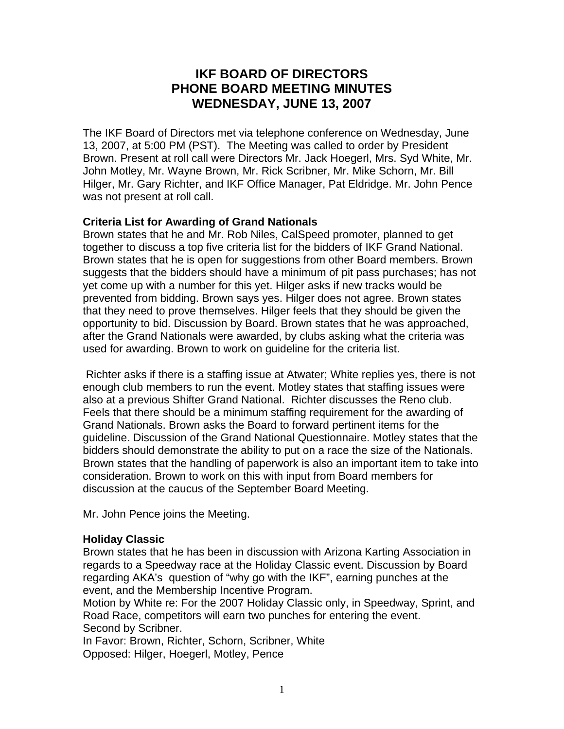# **IKF BOARD OF DIRECTORS PHONE BOARD MEETING MINUTES WEDNESDAY, JUNE 13, 2007**

The IKF Board of Directors met via telephone conference on Wednesday, June 13, 2007, at 5:00 PM (PST). The Meeting was called to order by President Brown. Present at roll call were Directors Mr. Jack Hoegerl, Mrs. Syd White, Mr. John Motley, Mr. Wayne Brown, Mr. Rick Scribner, Mr. Mike Schorn, Mr. Bill Hilger, Mr. Gary Richter, and IKF Office Manager, Pat Eldridge. Mr. John Pence was not present at roll call.

# **Criteria List for Awarding of Grand Nationals**

Brown states that he and Mr. Rob Niles, CalSpeed promoter, planned to get together to discuss a top five criteria list for the bidders of IKF Grand National. Brown states that he is open for suggestions from other Board members. Brown suggests that the bidders should have a minimum of pit pass purchases; has not yet come up with a number for this yet. Hilger asks if new tracks would be prevented from bidding. Brown says yes. Hilger does not agree. Brown states that they need to prove themselves. Hilger feels that they should be given the opportunity to bid. Discussion by Board. Brown states that he was approached, after the Grand Nationals were awarded, by clubs asking what the criteria was used for awarding. Brown to work on guideline for the criteria list.

 Richter asks if there is a staffing issue at Atwater; White replies yes, there is not enough club members to run the event. Motley states that staffing issues were also at a previous Shifter Grand National. Richter discusses the Reno club. Feels that there should be a minimum staffing requirement for the awarding of Grand Nationals. Brown asks the Board to forward pertinent items for the guideline. Discussion of the Grand National Questionnaire. Motley states that the bidders should demonstrate the ability to put on a race the size of the Nationals. Brown states that the handling of paperwork is also an important item to take into consideration. Brown to work on this with input from Board members for discussion at the caucus of the September Board Meeting.

Mr. John Pence joins the Meeting.

# **Holiday Classic**

Brown states that he has been in discussion with Arizona Karting Association in regards to a Speedway race at the Holiday Classic event. Discussion by Board regarding AKA's question of "why go with the IKF", earning punches at the event, and the Membership Incentive Program.

Motion by White re: For the 2007 Holiday Classic only, in Speedway, Sprint, and Road Race, competitors will earn two punches for entering the event. Second by Scribner.

In Favor: Brown, Richter, Schorn, Scribner, White Opposed: Hilger, Hoegerl, Motley, Pence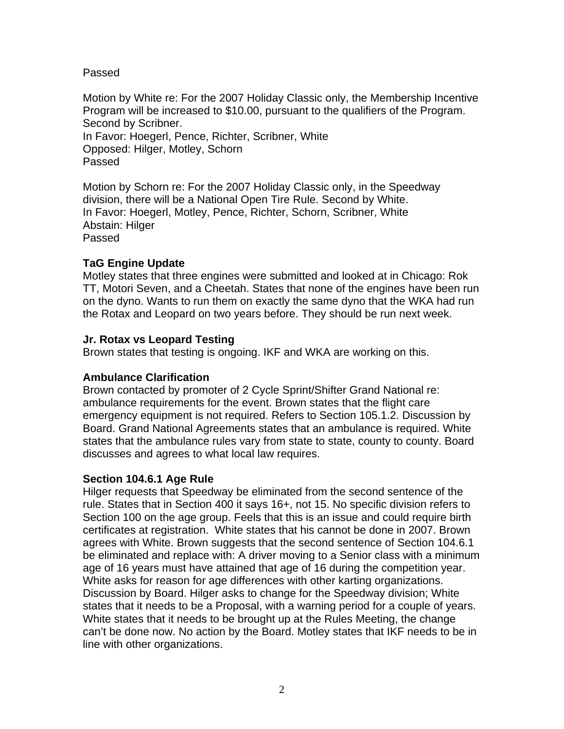Passed

Motion by White re: For the 2007 Holiday Classic only, the Membership Incentive Program will be increased to \$10.00, pursuant to the qualifiers of the Program. Second by Scribner. In Favor: Hoegerl, Pence, Richter, Scribner, White Opposed: Hilger, Motley, Schorn Passed

Motion by Schorn re: For the 2007 Holiday Classic only, in the Speedway division, there will be a National Open Tire Rule. Second by White. In Favor: Hoegerl, Motley, Pence, Richter, Schorn, Scribner, White Abstain: Hilger Passed

# **TaG Engine Update**

Motley states that three engines were submitted and looked at in Chicago: Rok TT, Motori Seven, and a Cheetah. States that none of the engines have been run on the dyno. Wants to run them on exactly the same dyno that the WKA had run the Rotax and Leopard on two years before. They should be run next week.

# **Jr. Rotax vs Leopard Testing**

Brown states that testing is ongoing. IKF and WKA are working on this.

# **Ambulance Clarification**

Brown contacted by promoter of 2 Cycle Sprint/Shifter Grand National re: ambulance requirements for the event. Brown states that the flight care emergency equipment is not required. Refers to Section 105.1.2. Discussion by Board. Grand National Agreements states that an ambulance is required. White states that the ambulance rules vary from state to state, county to county. Board discusses and agrees to what local law requires.

# **Section 104.6.1 Age Rule**

Hilger requests that Speedway be eliminated from the second sentence of the rule. States that in Section 400 it says 16+, not 15. No specific division refers to Section 100 on the age group. Feels that this is an issue and could require birth certificates at registration. White states that his cannot be done in 2007. Brown agrees with White. Brown suggests that the second sentence of Section 104.6.1 be eliminated and replace with: A driver moving to a Senior class with a minimum age of 16 years must have attained that age of 16 during the competition year. White asks for reason for age differences with other karting organizations. Discussion by Board. Hilger asks to change for the Speedway division; White states that it needs to be a Proposal, with a warning period for a couple of years. White states that it needs to be brought up at the Rules Meeting, the change can't be done now. No action by the Board. Motley states that IKF needs to be in line with other organizations.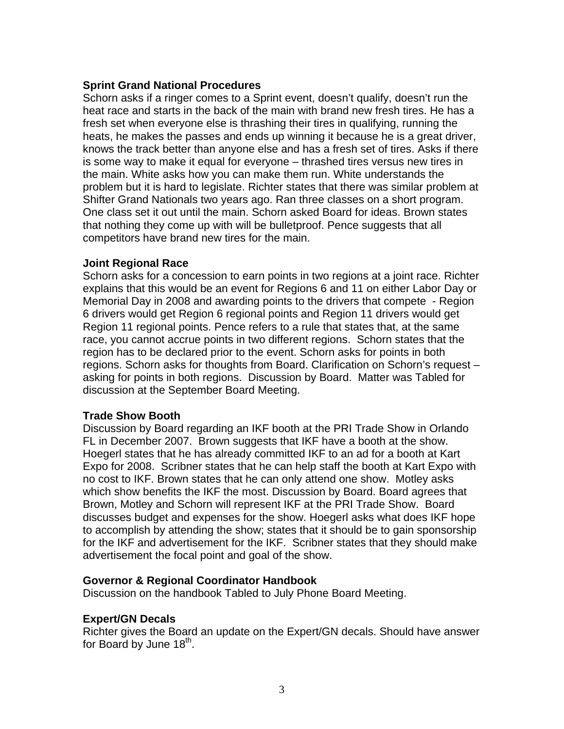# **Sprint Grand National Procedures**

Schorn asks if a ringer comes to a Sprint event, doesn't qualify, doesn't run the heat race and starts in the back of the main with brand new fresh tires. He has a fresh set when everyone else is thrashing their tires in qualifying, running the heats, he makes the passes and ends up winning it because he is a great driver, knows the track better than anyone else and has a fresh set of tires. Asks if there is some way to make it equal for everyone – thrashed tires versus new tires in the main. White asks how you can make them run. White understands the problem but it is hard to legislate. Richter states that there was similar problem at Shifter Grand Nationals two years ago. Ran three classes on a short program. One class set it out until the main. Schorn asked Board for ideas. Brown states that nothing they come up with will be bulletproof. Pence suggests that all competitors have brand new tires for the main.

#### **Joint Regional Race**

Schorn asks for a concession to earn points in two regions at a joint race. Richter explains that this would be an event for Regions 6 and 11 on either Labor Day or Memorial Day in 2008 and awarding points to the drivers that compete - Region 6 drivers would get Region 6 regional points and Region 11 drivers would get Region 11 regional points. Pence refers to a rule that states that, at the same race, you cannot accrue points in two different regions. Schorn states that the region has to be declared prior to the event. Schorn asks for points in both regions. Schorn asks for thoughts from Board. Clarification on Schorn's request – asking for points in both regions. Discussion by Board. Matter was Tabled for discussion at the September Board Meeting.

# **Trade Show Booth**

Discussion by Board regarding an IKF booth at the PRI Trade Show in Orlando FL in December 2007. Brown suggests that IKF have a booth at the show. Hoegerl states that he has already committed IKF to an ad for a booth at Kart Expo for 2008. Scribner states that he can help staff the booth at Kart Expo with no cost to IKF. Brown states that he can only attend one show. Motley asks which show benefits the IKF the most. Discussion by Board. Board agrees that Brown, Motley and Schorn will represent IKF at the PRI Trade Show. Board discusses budget and expenses for the show. Hoegerl asks what does IKF hope to accomplish by attending the show; states that it should be to gain sponsorship for the IKF and advertisement for the IKF. Scribner states that they should make advertisement the focal point and goal of the show.

# **Governor & Regional Coordinator Handbook**

Discussion on the handbook Tabled to July Phone Board Meeting.

# **Expert/GN Decals**

Richter gives the Board an update on the Expert/GN decals. Should have answer for Board by June  $18<sup>th</sup>$ .